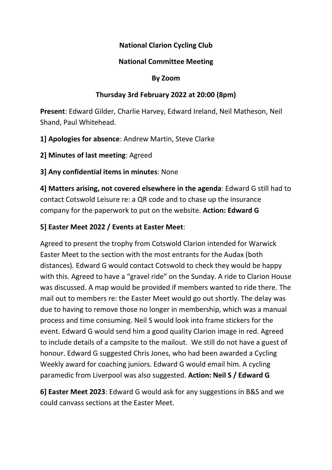### National Clarion Cycling Club

#### National Committee Meeting

#### By Zoom

### Thursday 3rd February 2022 at 20:00 (8pm)

Present: Edward Gilder, Charlie Harvey, Edward Ireland, Neil Matheson, Neil Shand, Paul Whitehead.

1] Apologies for absence: Andrew Martin, Steve Clarke

2] Minutes of last meeting: Agreed

3] Any confidential items in minutes: None

4] Matters arising, not covered elsewhere in the agenda: Edward G still had to contact Cotswold Leisure re: a QR code and to chase up the insurance company for the paperwork to put on the website. Action: Edward G

## 5] Easter Meet 2022 / Events at Easter Meet:

Agreed to present the trophy from Cotswold Clarion intended for Warwick Easter Meet to the section with the most entrants for the Audax (both distances). Edward G would contact Cotswold to check they would be happy with this. Agreed to have a "gravel ride" on the Sunday. A ride to Clarion House was discussed. A map would be provided if members wanted to ride there. The mail out to members re: the Easter Meet would go out shortly. The delay was due to having to remove those no longer in membership, which was a manual process and time consuming. Neil S would look into frame stickers for the event. Edward G would send him a good quality Clarion image in red. Agreed to include details of a campsite to the mailout. We still do not have a guest of honour. Edward G suggested Chris Jones, who had been awarded a Cycling Weekly award for coaching juniors. Edward G would email him. A cycling paramedic from Liverpool was also suggested. Action: Neil S / Edward G

6] Easter Meet 2023: Edward G would ask for any suggestions in B&S and we could canvass sections at the Easter Meet.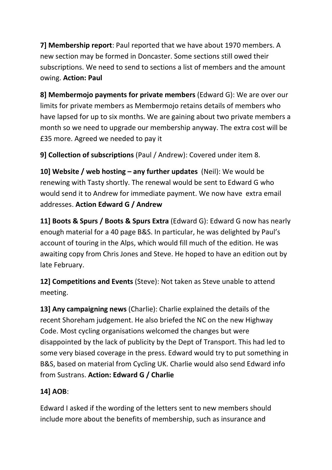7] Membership report: Paul reported that we have about 1970 members. A new section may be formed in Doncaster. Some sections still owed their subscriptions. We need to send to sections a list of members and the amount owing. Action: Paul

8] Membermojo payments for private members (Edward G): We are over our limits for private members as Membermojo retains details of members who have lapsed for up to six months. We are gaining about two private members a month so we need to upgrade our membership anyway. The extra cost will be £35 more. Agreed we needed to pay it

9] Collection of subscriptions (Paul / Andrew): Covered under item 8.

10] Website / web hosting – any further updates (Neil): We would be renewing with Tasty shortly. The renewal would be sent to Edward G who would send it to Andrew for immediate payment. We now have extra email addresses. Action Edward G / Andrew

11] Boots & Spurs / Boots & Spurs Extra (Edward G): Edward G now has nearly enough material for a 40 page B&S. In particular, he was delighted by Paul's account of touring in the Alps, which would fill much of the edition. He was awaiting copy from Chris Jones and Steve. He hoped to have an edition out by late February.

12] Competitions and Events (Steve): Not taken as Steve unable to attend meeting.

13] Any campaigning news (Charlie): Charlie explained the details of the recent Shoreham judgement. He also briefed the NC on the new Highway Code. Most cycling organisations welcomed the changes but were disappointed by the lack of publicity by the Dept of Transport. This had led to some very biased coverage in the press. Edward would try to put something in B&S, based on material from Cycling UK. Charlie would also send Edward info from Sustrans. Action: Edward G / Charlie

# 14] AOB:

Edward I asked if the wording of the letters sent to new members should include more about the benefits of membership, such as insurance and